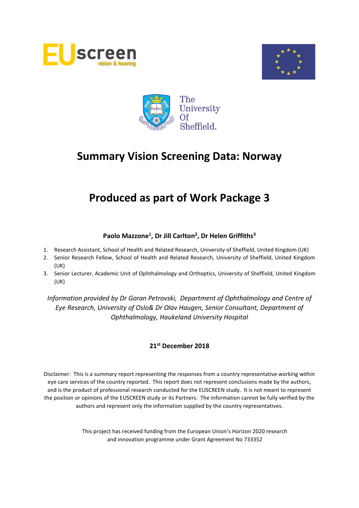





# **Produced as part of Work Package 3**

## **Paolo Mazzone<sup>1</sup> , Dr Jill Carlton<sup>2</sup> , Dr Helen Griffiths<sup>3</sup>**

- 1. Research Assistant, School of Health and Related Research, University of Sheffield, United Kingdom (UK)
- 2. Senior Research Fellow, School of Health and Related Research, University of Sheffield, United Kingdom (UK)
- 3. Senior Lecturer, Academic Unit of Ophthalmology and Orthoptics, University of Sheffield, United Kingdom (UK)

*Information provided by Dr Goran Petrovski, Department of Ophthalmology and Centre of Eye Research, University of Oslo& Dr Olav Haugen, Senior Consultant, Department of Ophthalmology, Haukeland University Hospital*

### **21st December 2018**

Disclaimer: This is a summary report representing the responses from a country representative working within eye care services of the country reported. This report does not represent conclusions made by the authors, and is the product of professional research conducted for the EUSCREEN study. It is not meant to represent the position or opinions of the EUSCREEN study or its Partners. The information cannot be fully verified by the authors and represent only the information supplied by the country representatives.

> This project has received funding from the European Union's Horizon 2020 research and innovation programme under Grant Agreement No 733352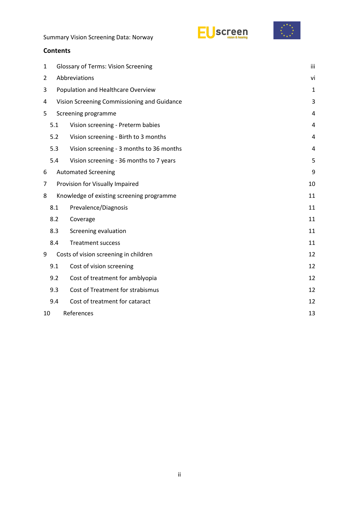



| Summary Vision Screening Data: Norway |  |
|---------------------------------------|--|
|---------------------------------------|--|

## **Contents**

| 1              | <b>Glossary of Terms: Vision Screening</b>       |                                           |                |  |  |
|----------------|--------------------------------------------------|-------------------------------------------|----------------|--|--|
| $\overline{2}$ | Abbreviations                                    |                                           |                |  |  |
| 3              | Population and Healthcare Overview               |                                           |                |  |  |
|                | Vision Screening Commissioning and Guidance<br>4 |                                           |                |  |  |
| 5              | Screening programme                              | 4                                         |                |  |  |
|                | 5.1                                              | Vision screening - Preterm babies         | 4              |  |  |
|                | 5.2                                              | Vision screening - Birth to 3 months      | 4              |  |  |
|                | 5.3                                              | Vision screening - 3 months to 36 months  | $\overline{4}$ |  |  |
|                | 5.4                                              | Vision screening - 36 months to 7 years   | 5              |  |  |
| 6              |                                                  | <b>Automated Screening</b>                | 9              |  |  |
| 7              |                                                  | Provision for Visually Impaired           | 10             |  |  |
| 8              |                                                  | Knowledge of existing screening programme | 11             |  |  |
|                | 8.1                                              | Prevalence/Diagnosis                      | 11             |  |  |
|                | 8.2                                              | Coverage                                  | 11             |  |  |
|                | 8.3                                              | Screening evaluation                      | 11             |  |  |
|                | 8.4                                              | <b>Treatment success</b>                  | 11             |  |  |
| 9              |                                                  | Costs of vision screening in children     | 12             |  |  |
|                | 9.1                                              | Cost of vision screening                  | 12             |  |  |
|                | 9.2                                              | Cost of treatment for amblyopia           | 12             |  |  |
|                | 9.3                                              | Cost of Treatment for strabismus          | 12             |  |  |
|                | 9.4                                              | Cost of treatment for cataract            | 12             |  |  |
| 10             | References<br>13                                 |                                           |                |  |  |
|                |                                                  |                                           |                |  |  |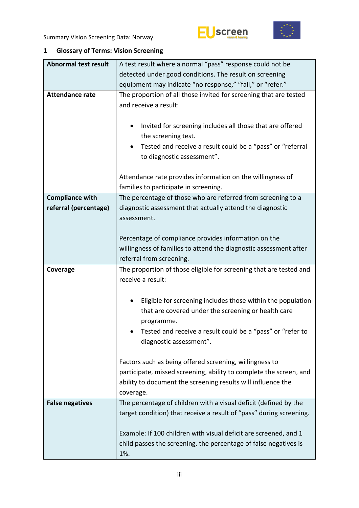



# <span id="page-2-0"></span>**1 Glossary of Terms: Vision Screening**

| <b>Abnormal test result</b> | A test result where a normal "pass" response could not be                                  |  |  |  |
|-----------------------------|--------------------------------------------------------------------------------------------|--|--|--|
|                             | detected under good conditions. The result on screening                                    |  |  |  |
|                             | equipment may indicate "no response," "fail," or "refer."                                  |  |  |  |
| <b>Attendance rate</b>      | The proportion of all those invited for screening that are tested<br>and receive a result: |  |  |  |
|                             |                                                                                            |  |  |  |
|                             | Invited for screening includes all those that are offered<br>٠                             |  |  |  |
|                             | the screening test.                                                                        |  |  |  |
|                             | Tested and receive a result could be a "pass" or "referral<br>٠                            |  |  |  |
|                             | to diagnostic assessment".                                                                 |  |  |  |
|                             | Attendance rate provides information on the willingness of                                 |  |  |  |
|                             | families to participate in screening.                                                      |  |  |  |
| <b>Compliance with</b>      | The percentage of those who are referred from screening to a                               |  |  |  |
| referral (percentage)       | diagnostic assessment that actually attend the diagnostic                                  |  |  |  |
|                             | assessment.                                                                                |  |  |  |
|                             |                                                                                            |  |  |  |
|                             | Percentage of compliance provides information on the                                       |  |  |  |
|                             | willingness of families to attend the diagnostic assessment after                          |  |  |  |
|                             | referral from screening.                                                                   |  |  |  |
|                             |                                                                                            |  |  |  |
| Coverage                    | The proportion of those eligible for screening that are tested and                         |  |  |  |
|                             | receive a result:                                                                          |  |  |  |
|                             |                                                                                            |  |  |  |
|                             | Eligible for screening includes those within the population<br>٠                           |  |  |  |
|                             | that are covered under the screening or health care                                        |  |  |  |
|                             | programme.                                                                                 |  |  |  |
|                             | Tested and receive a result could be a "pass" or "refer to                                 |  |  |  |
|                             | diagnostic assessment".                                                                    |  |  |  |
|                             | Factors such as being offered screening, willingness to                                    |  |  |  |
|                             | participate, missed screening, ability to complete the screen, and                         |  |  |  |
|                             | ability to document the screening results will influence the                               |  |  |  |
|                             | coverage.                                                                                  |  |  |  |
| <b>False negatives</b>      | The percentage of children with a visual deficit (defined by the                           |  |  |  |
|                             | target condition) that receive a result of "pass" during screening.                        |  |  |  |
|                             |                                                                                            |  |  |  |
|                             | Example: If 100 children with visual deficit are screened, and 1                           |  |  |  |
|                             | child passes the screening, the percentage of false negatives is<br>1%.                    |  |  |  |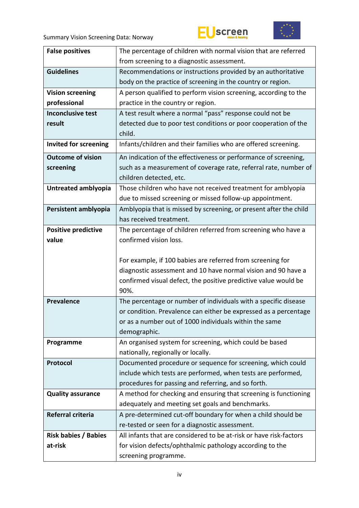



| <b>False positives</b>       | The percentage of children with normal vision that are referred                  |
|------------------------------|----------------------------------------------------------------------------------|
|                              | from screening to a diagnostic assessment.                                       |
| <b>Guidelines</b>            | Recommendations or instructions provided by an authoritative                     |
|                              | body on the practice of screening in the country or region.                      |
| <b>Vision screening</b>      | A person qualified to perform vision screening, according to the                 |
| professional                 | practice in the country or region.                                               |
| <b>Inconclusive test</b>     | A test result where a normal "pass" response could not be                        |
| result                       | detected due to poor test conditions or poor cooperation of the                  |
|                              | child.                                                                           |
| <b>Invited for screening</b> | Infants/children and their families who are offered screening.                   |
| <b>Outcome of vision</b>     | An indication of the effectiveness or performance of screening,                  |
| screening                    | such as a measurement of coverage rate, referral rate, number of                 |
|                              | children detected, etc.                                                          |
| Untreated amblyopia          | Those children who have not received treatment for amblyopia                     |
|                              | due to missed screening or missed follow-up appointment.                         |
| Persistent amblyopia         | Amblyopia that is missed by screening, or present after the child                |
|                              | has received treatment.                                                          |
| <b>Positive predictive</b>   | The percentage of children referred from screening who have a                    |
| value                        | confirmed vision loss.                                                           |
|                              |                                                                                  |
|                              | For example, if 100 babies are referred from screening for                       |
|                              | diagnostic assessment and 10 have normal vision and 90 have a                    |
|                              | confirmed visual defect, the positive predictive value would be                  |
|                              | 90%.                                                                             |
| <b>Prevalence</b>            | The percentage or number of individuals with a specific disease                  |
|                              | or condition. Prevalence can either be expressed as a percentage                 |
|                              | or as a number out of 1000 individuals within the same                           |
|                              | demographic.                                                                     |
| Programme                    | An organised system for screening, which could be based                          |
|                              |                                                                                  |
|                              | nationally, regionally or locally.                                               |
| Protocol                     | Documented procedure or sequence for screening, which could                      |
|                              | include which tests are performed, when tests are performed,                     |
|                              | procedures for passing and referring, and so forth.                              |
| <b>Quality assurance</b>     | A method for checking and ensuring that screening is functioning                 |
|                              | adequately and meeting set goals and benchmarks.                                 |
| Referral criteria            | A pre-determined cut-off boundary for when a child should be                     |
|                              | re-tested or seen for a diagnostic assessment.                                   |
| <b>Risk babies / Babies</b>  | All infants that are considered to be at-risk or have risk-factors               |
| at-risk                      | for vision defects/ophthalmic pathology according to the<br>screening programme. |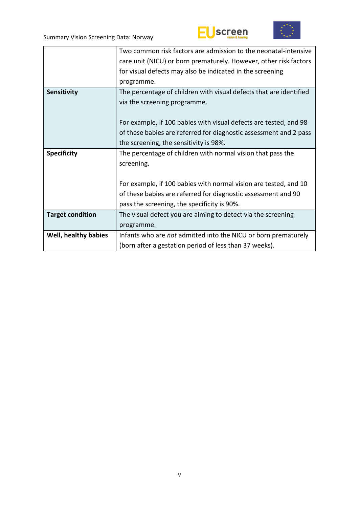



|                         | Two common risk factors are admission to the neonatal-intensive    |  |  |
|-------------------------|--------------------------------------------------------------------|--|--|
|                         | care unit (NICU) or born prematurely. However, other risk factors  |  |  |
|                         | for visual defects may also be indicated in the screening          |  |  |
|                         | programme.                                                         |  |  |
| Sensitivity             | The percentage of children with visual defects that are identified |  |  |
|                         | via the screening programme.                                       |  |  |
|                         |                                                                    |  |  |
|                         | For example, if 100 babies with visual defects are tested, and 98  |  |  |
|                         | of these babies are referred for diagnostic assessment and 2 pass  |  |  |
|                         | the screening, the sensitivity is 98%.                             |  |  |
|                         |                                                                    |  |  |
| <b>Specificity</b>      | The percentage of children with normal vision that pass the        |  |  |
|                         | screening.                                                         |  |  |
|                         |                                                                    |  |  |
|                         | For example, if 100 babies with normal vision are tested, and 10   |  |  |
|                         | of these babies are referred for diagnostic assessment and 90      |  |  |
|                         | pass the screening, the specificity is 90%.                        |  |  |
| <b>Target condition</b> | The visual defect you are aiming to detect via the screening       |  |  |
|                         | programme.                                                         |  |  |
| Well, healthy babies    | Infants who are not admitted into the NICU or born prematurely     |  |  |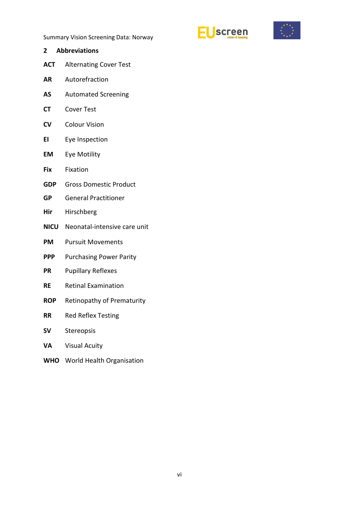



<span id="page-5-0"></span>**2 Abbreviations ACT** Alternating Cover Test **AR** Autorefraction **AS** Automated Screening **CT** Cover Test **CV** Colour Vision **EI** Eye Inspection **EM** Eye Motility **Fix** Fixation **GDP** Gross Domestic Product **GP** General Practitioner **Hir** Hirschberg **NICU** Neonatal-intensive care unit **PM** Pursuit Movements **PPP** Purchasing Power Parity **PR** Pupillary Reflexes **RE** Retinal Examination **ROP** Retinopathy of Prematurity **RR** Red Reflex Testing **SV** Stereopsis **VA** Visual Acuity **WHO** World Health Organisation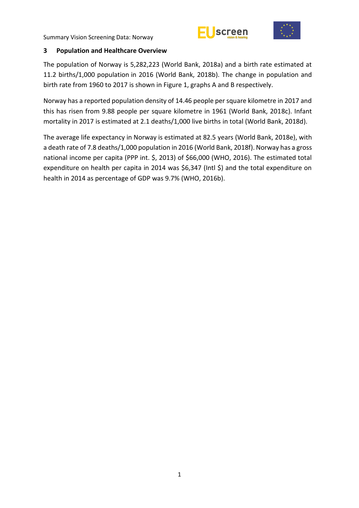



#### <span id="page-6-0"></span>**3 Population and Healthcare Overview**

The population of Norway is 5,282,223 (World Bank, 2018a) and a birth rate estimated at 11.2 births/1,000 population in 2016 (World Bank, 2018b). The change in population and birth rate from 1960 to 2017 is shown in Figure 1, graphs A and B respectively.

Norway has a reported population density of 14.46 people per square kilometre in 2017 and this has risen from 9.88 people per square kilometre in 1961 (World Bank, 2018c). Infant mortality in 2017 is estimated at 2.1 deaths/1,000 live births in total (World Bank, 2018d).

The average life expectancy in Norway is estimated at 82.5 years (World Bank, 2018e), with a death rate of 7.8 deaths/1,000 population in 2016 (World Bank, 2018f). Norway has a gross national income per capita (PPP int. \$, 2013) of \$66,000 (WHO, 2016). The estimated total expenditure on health per capita in 2014 was \$6,347 (Intl \$) and the total expenditure on health in 2014 as percentage of GDP was 9.7% (WHO, 2016b).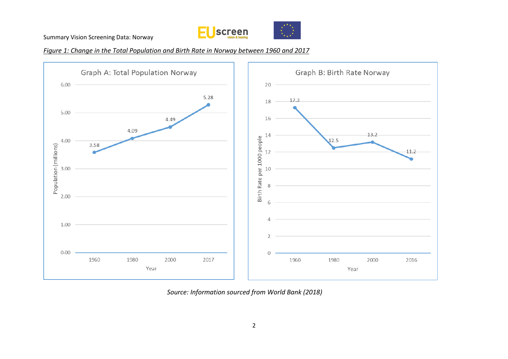



*Figure 1: Change in the Total Population and Birth Rate in Norway between 1960 and 2017*



*Source: Information sourced from World Bank (2018)*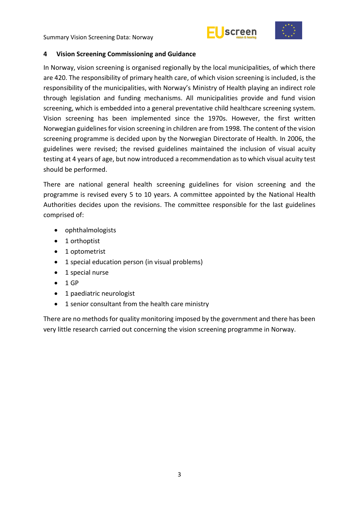



#### <span id="page-8-0"></span>**4 Vision Screening Commissioning and Guidance**

In Norway, vision screening is organised regionally by the local municipalities, of which there are 420. The responsibility of primary health care, of which vision screening is included, is the responsibility of the municipalities, with Norway's Ministry of Health playing an indirect role through legislation and funding mechanisms. All municipalities provide and fund vision screening, which is embedded into a general preventative child healthcare screening system. Vision screening has been implemented since the 1970s. However, the first written Norwegian guidelines for vision screening in children are from 1998. The content of the vision screening programme is decided upon by the Norwegian Directorate of Health. In 2006, the guidelines were revised; the revised guidelines maintained the inclusion of visual acuity testing at 4 years of age, but now introduced a recommendation as to which visual acuity test should be performed.

There are national general health screening guidelines for vision screening and the programme is revised every 5 to 10 years. A committee appointed by the National Health Authorities decides upon the revisions. The committee responsible for the last guidelines comprised of:

- ophthalmologists
- 1 orthoptist
- 1 optometrist
- 1 special education person (in visual problems)
- 1 special nurse
- $-1GP$
- 1 paediatric neurologist
- 1 senior consultant from the health care ministry

There are no methods for quality monitoring imposed by the government and there has been very little research carried out concerning the vision screening programme in Norway.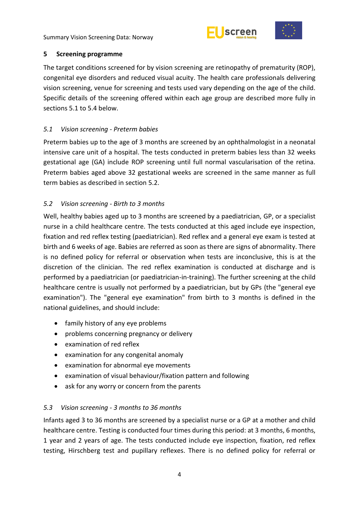



## <span id="page-9-0"></span>**5 Screening programme**

The target conditions screened for by vision screening are retinopathy of prematurity (ROP), congenital eye disorders and reduced visual acuity. The health care professionals delivering vision screening, venue for screening and tests used vary depending on the age of the child. Specific details of the screening offered within each age group are described more fully in sections 5.1 to 5.4 below.

# <span id="page-9-1"></span>*5.1 Vision screening - Preterm babies*

Preterm babies up to the age of 3 months are screened by an ophthalmologist in a neonatal intensive care unit of a hospital. The tests conducted in preterm babies less than 32 weeks gestational age (GA) include ROP screening until full normal vascularisation of the retina. Preterm babies aged above 32 gestational weeks are screened in the same manner as full term babies as described in section 5.2.

# <span id="page-9-2"></span>*5.2 Vision screening - Birth to 3 months*

Well, healthy babies aged up to 3 months are screened by a paediatrician, GP, or a specialist nurse in a child healthcare centre. The tests conducted at this aged include eye inspection, fixation and red reflex testing (paediatrician). Red reflex and a general eye exam is tested at birth and 6 weeks of age. Babies are referred as soon as there are signs of abnormality. There is no defined policy for referral or observation when tests are inconclusive, this is at the discretion of the clinician. The red reflex examination is conducted at discharge and is performed by a paediatrician (or paediatrician-in-training). The further screening at the child healthcare centre is usually not performed by a paediatrician, but by GPs (the "general eye examination"). The "general eye examination" from birth to 3 months is defined in the national guidelines, and should include:

- family history of any eye problems
- problems concerning pregnancy or delivery
- examination of red reflex
- examination for any congenital anomaly
- examination for abnormal eye movements
- examination of visual behaviour/fixation pattern and following
- ask for any worry or concern from the parents

## <span id="page-9-3"></span>*5.3 Vision screening - 3 months to 36 months*

Infants aged 3 to 36 months are screened by a specialist nurse or a GP at a mother and child healthcare centre. Testing is conducted four times during this period: at 3 months, 6 months, 1 year and 2 years of age. The tests conducted include eye inspection, fixation, red reflex testing, Hirschberg test and pupillary reflexes. There is no defined policy for referral or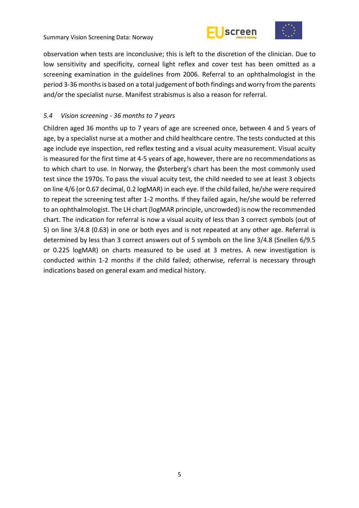



observation when tests are inconclusive; this is left to the discretion of the clinician. Due to low sensitivity and specificity, corneal light reflex and cover test has been omitted as a screening examination in the guidelines from 2006. Referral to an ophthalmologist in the period 3-36 months is based on a total judgement of both findings and worry from the parents and/or the specialist nurse. Manifest strabismus is also a reason for referral.

#### <span id="page-10-0"></span>*5.4 Vision screening - 36 months to 7 years*

Children aged 36 months up to 7 years of age are screened once, between 4 and 5 years of age, by a specialist nurse at a mother and child healthcare centre. The tests conducted at this age include eye inspection, red reflex testing and a visual acuity measurement. Visual acuity is measured for the first time at 4-5 years of age, however, there are no recommendations as to which chart to use. In Norway, the Østerberg's chart has been the most commonly used test since the 1970s. To pass the visual acuity test, the child needed to see at least 3 objects on line 4/6 (or 0.67 decimal, 0.2 logMAR) in each eye. If the child failed, he/she were required to repeat the screening test after 1-2 months. If they failed again, he/she would be referred to an ophthalmologist. The LH chart (logMAR principle, uncrowded) is now the recommended chart. The indication for referral is now a visual acuity of less than 3 correct symbols (out of 5) on line 3/4.8 (0.63) in one or both eyes and is not repeated at any other age. Referral is determined by less than 3 correct answers out of 5 symbols on the line 3/4.8 (Snellen 6/9.5 or 0.225 logMAR) on charts measured to be used at 3 metres. A new investigation is conducted within 1-2 months if the child failed; otherwise, referral is necessary through indications based on general exam and medical history.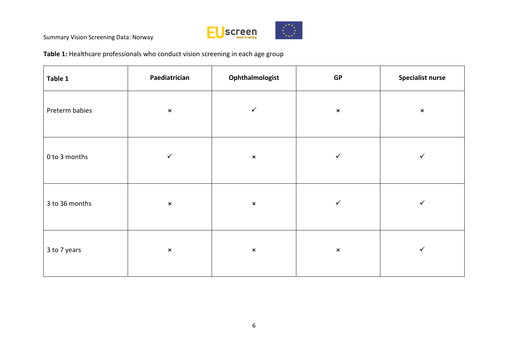

**Table 1:** Healthcare professionals who conduct vision screening in each age group

| Table 1        | Paediatrician  | Ophthalmologist | GP             | <b>Specialist nurse</b> |
|----------------|----------------|-----------------|----------------|-------------------------|
| Preterm babies | $\pmb{\times}$ | $\checkmark$    | $\pmb{\times}$ | $\pmb{\times}$          |
| 0 to 3 months  | ✓              | $\pmb{\times}$  | ✓              | ✓                       |
| 3 to 36 months | $\pmb{\times}$ | $\pmb{\times}$  | $\checkmark$   | ✓                       |
| 3 to 7 years   | $\pmb{\times}$ | $\pmb{\times}$  | $\pmb{\times}$ | $\checkmark$            |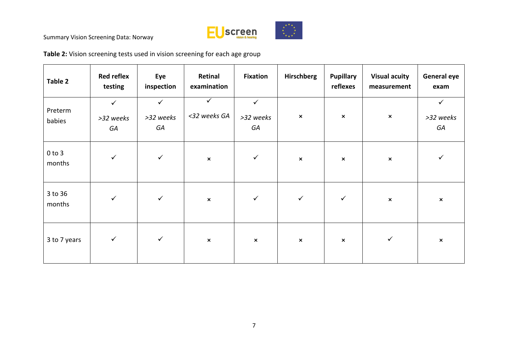

**Table 2:** Vision screening tests used in vision screening for each age group

| Table 2              | <b>Red reflex</b><br>testing    | Eye<br>inspection               | Retinal<br>examination       | <b>Fixation</b>                 | Hirschberg     | <b>Pupillary</b><br>reflexes | <b>Visual acuity</b><br>measurement | <b>General eye</b><br>exam      |
|----------------------|---------------------------------|---------------------------------|------------------------------|---------------------------------|----------------|------------------------------|-------------------------------------|---------------------------------|
| Preterm<br>babies    | $\checkmark$<br>>32 weeks<br>GA | $\checkmark$<br>>32 weeks<br>GA | $\checkmark$<br><32 weeks GA | $\checkmark$<br>>32 weeks<br>GA | $\pmb{\times}$ | $\pmb{\times}$               | $\pmb{\times}$                      | $\checkmark$<br>>32 weeks<br>GA |
| $0$ to $3$<br>months | $\checkmark$                    | $\checkmark$                    | $\pmb{\times}$               | $\checkmark$                    | $\pmb{\times}$ | $\pmb{\times}$               | $\pmb{\times}$                      | ✓                               |
| 3 to 36<br>months    | $\checkmark$                    | $\checkmark$                    | $\pmb{\times}$               | $\checkmark$                    | $\checkmark$   | $\checkmark$                 | $\pmb{\times}$                      | $\pmb{\times}$                  |
| 3 to 7 years         | $\checkmark$                    | $\checkmark$                    | $\pmb{\times}$               | $\boldsymbol{\mathsf{x}}$       | $\pmb{\times}$ | $\pmb{\times}$               | $\checkmark$                        | $\pmb{\times}$                  |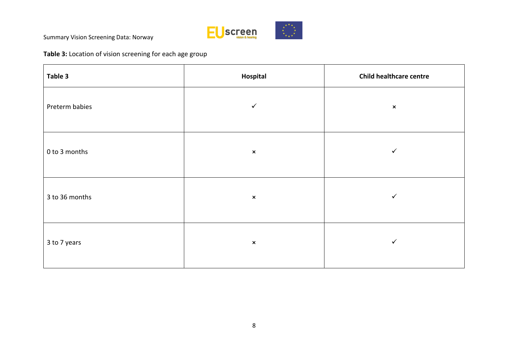

**Table 3:** Location of vision screening for each age group

| Table 3        | Hospital       | <b>Child healthcare centre</b> |
|----------------|----------------|--------------------------------|
| Preterm babies | $\checkmark$   | $\pmb{\times}$                 |
| 0 to 3 months  | $\pmb{\times}$ | $\checkmark$                   |
| 3 to 36 months | $\pmb{\times}$ | $\checkmark$                   |
| 3 to 7 years   | $\pmb{\times}$ | $\checkmark$                   |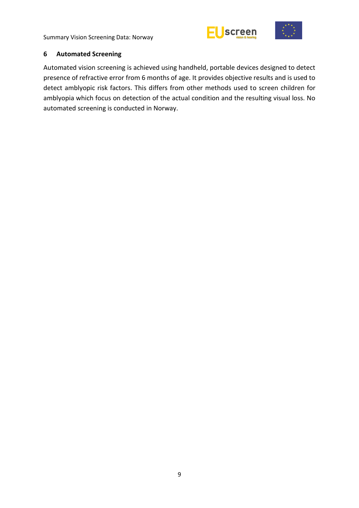



#### <span id="page-14-0"></span>**6 Automated Screening**

Automated vision screening is achieved using handheld, portable devices designed to detect presence of refractive error from 6 months of age. It provides objective results and is used to detect amblyopic risk factors. This differs from other methods used to screen children for amblyopia which focus on detection of the actual condition and the resulting visual loss. No automated screening is conducted in Norway.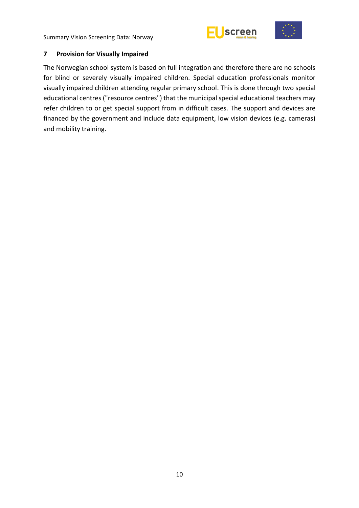



## <span id="page-15-0"></span>**7 Provision for Visually Impaired**

The Norwegian school system is based on full integration and therefore there are no schools for blind or severely visually impaired children. Special education professionals monitor visually impaired children attending regular primary school. This is done through two special educational centres ("resource centres") that the municipal special educational teachers may refer children to or get special support from in difficult cases. The support and devices are financed by the government and include data equipment, low vision devices (e.g. cameras) and mobility training.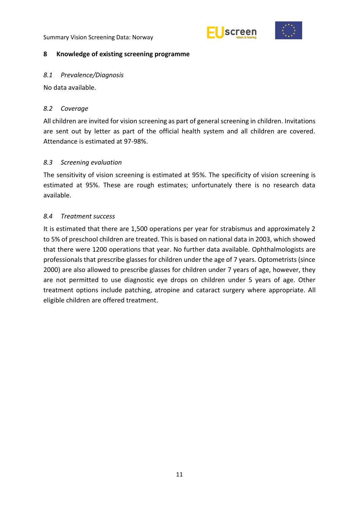



#### <span id="page-16-0"></span>**8 Knowledge of existing screening programme**

#### <span id="page-16-1"></span>*8.1 Prevalence/Diagnosis*

No data available.

## <span id="page-16-2"></span>*8.2 Coverage*

All children are invited for vision screening as part of general screening in children. Invitations are sent out by letter as part of the official health system and all children are covered. Attendance is estimated at 97-98%.

## <span id="page-16-3"></span>*8.3 Screening evaluation*

The sensitivity of vision screening is estimated at 95%. The specificity of vision screening is estimated at 95%. These are rough estimates; unfortunately there is no research data available.

### <span id="page-16-4"></span>*8.4 Treatment success*

It is estimated that there are 1,500 operations per year for strabismus and approximately 2 to 5% of preschool children are treated. This is based on national data in 2003, which showed that there were 1200 operations that year. No further data available. Ophthalmologists are professionals that prescribe glasses for children under the age of 7 years. Optometrists (since 2000) are also allowed to prescribe glasses for children under 7 years of age, however, they are not permitted to use diagnostic eye drops on children under 5 years of age. Other treatment options include patching, atropine and cataract surgery where appropriate. All eligible children are offered treatment.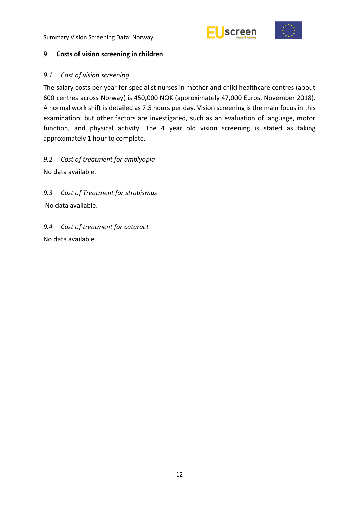



#### <span id="page-17-0"></span>**9 Costs of vision screening in children**

#### <span id="page-17-1"></span>*9.1 Cost of vision screening*

The salary costs per year for specialist nurses in mother and child healthcare centres (about 600 centres across Norway) is 450,000 NOK (approximately 47,000 Euros, November 2018). A normal work shift is detailed as 7.5 hours per day. Vision screening is the main focus in this examination, but other factors are investigated, such as an evaluation of language, motor function, and physical activity. The 4 year old vision screening is stated as taking approximately 1 hour to complete.

<span id="page-17-2"></span>*9.2 Cost of treatment for amblyopia* No data available.

<span id="page-17-3"></span>*9.3 Cost of Treatment for strabismus* 

No data available.

<span id="page-17-4"></span>*9.4 Cost of treatment for cataract* No data available.